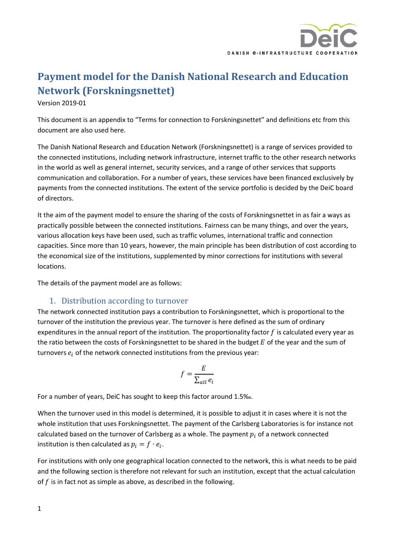

## **Payment model for the Danish National Research and Education Network (Forskningsnettet)**

Version 2019-01

This document is an appendix to "Terms for connection to Forskningsnettet" and definitions etc from this document are also used here.

The Danish National Research and Education Network (Forskningsnettet) is a range of services provided to the connected institutions, including network infrastructure, internet traffic to the other research networks in the world as well as general internet, security services, and a range of other services that supports communication and collaboration. For a number of years, these services have been financed exclusively by payments from the connected institutions. The extent of the service portfolio is decided by the DeiC board of directors.

It the aim of the payment model to ensure the sharing of the costs of Forskningsnettet in as fair a ways as practically possible between the connected institutions. Fairness can be many things, and over the years, various allocation keys have been used, such as traffic volumes, international traffic and connection capacities. Since more than 10 years, however, the main principle has been distribution of cost according to the economical size of the institutions, supplemented by minor corrections for institutions with several locations.

The details of the payment model are as follows:

## 1. Distribution according to turnover

The network connected institution pays a contribution to Forskningsnettet, which is proportional to the turnover of the institution the previous year. The turnover is here defined as the sum of ordinary expenditures in the annual report of the institution. The proportionality factor  $f$  is calculated every year as the ratio between the costs of Forskningsnettet to be shared in the budget  $E$  of the year and the sum of turnovers  $e_i$  of the network connected institutions from the previous year:

$$
f = \frac{E}{\sum_{all} e_i}
$$

For a number of years, DeiC has sought to keep this factor around 1.5‰.

When the turnover used in this model is determined, it is possible to adjust it in cases where it is not the whole institution that uses Forskningsnettet. The payment of the Carlsberg Laboratories is for instance not calculated based on the turnover of Carlsberg as a whole. The payment  $p_i$  of a network connected institution is then calculated as  $p_i = f \cdot e_i$ .

For institutions with only one geographical location connected to the network, this is what needs to be paid and the following section is therefore not relevant for such an institution, except that the actual calculation of  $f$  is in fact not as simple as above, as described in the following.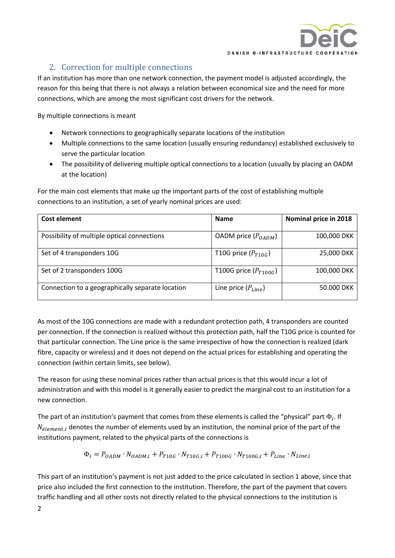

## 2. Correction for multiple connections

If an institution has more than one network connection, the payment model is adjusted accordingly, the reason for this being that there is not always a relation between economical size and the need for more connections, which are among the most significant cost drivers for the network.

By multiple connections is meant

- Network connections to geographically separate locations of the institution
- Multiple connections to the same location (usually ensuring redundancy) established exclusively to serve the particular location
- The possibility of delivering multiple optical connections to a location (usually by placing an OADM at the location)

For the main cost elements that make up the important parts of the cost of establishing multiple connections to an institution, a set of yearly nominal prices are used:

| Cost element                                     | <b>Name</b>               | Nominal price in 2018 |
|--------------------------------------------------|---------------------------|-----------------------|
| Possibility of multiple optical connections      | OADM price $(P_{OADM})$   | 100,000 DKK           |
| Set of 4 transponders 10G                        | T10G price $(P_{T10G})$   | 25,000 DKK            |
| Set of 2 transponders 100G                       | T100G price $(P_{T100G})$ | 100,000 DKK           |
| Connection to a geographically separate location | Line price $(P_{Line})$   | 50.000 DKK            |

As most of the 10G connections are made with a redundant protection path, 4 transponders are counted per connection. If the connection is realized without this protection path, half the T10G price is counted for that particular connection. The Line price is the same irrespective of how the connection is realized (dark fibre, capacity or wireless) and it does not depend on the actual prices for establishing and operating the connection (within certain limits, see below).

The reason for using these nominal prices rather than actual prices is that this would incur a lot of administration and with this model is it generally easier to predict the marginal cost to an institution for a new connection.

The part of an institution's payment that comes from these elements is called the "physical" part  $\Phi_i$ . If  $N_{element,i}$  denotes the number of elements used by an institution, the nominal price of the part of the institutions payment, related to the physical parts of the connections is

$$
\Phi_i = P_{OADM} \cdot N_{OADM,i} + P_{T10G} \cdot N_{T10G,i} + P_{T100G} \cdot N_{T100G,i} + P_{Line} \cdot N_{Line,i}
$$

This part of an institution's payment is not just added to the price calculated in section 1 above, since that price also included the first connection to the institution. Therefore, the part of the payment that covers traffic handling and all other costs not directly related to the physical connections to the institution is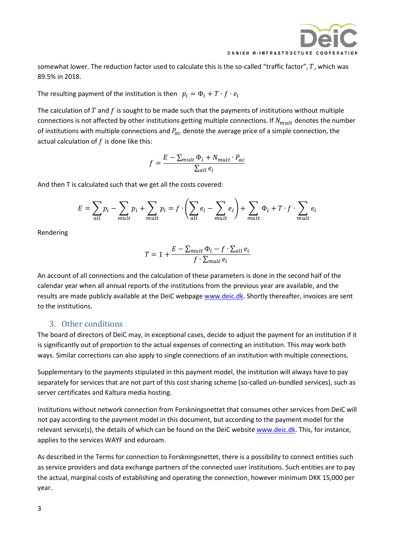

somewhat lower. The reduction factor used to calculate this is the so-called "traffic factor",  $T$ , which was 89.5% in 2018.

The resulting payment of the institution is then  $p_i = \Phi_i + T \cdot f \cdot e_i$ 

The calculation of  $T$  and  $f$  is sought to be made such that the payments of institutions without multiple connections is not affected by other institutions getting multiple connections. If  $N_{mult}$  denotes the number of institutions with multiple connections and  $P_{ac}$  denote the average price of a simple connection, the actual calculation of  $f$  is done like this:

$$
f = \frac{E - \sum_{mult} \Phi_i + N_{mult} \cdot P_{ac}}{\sum_{all} e_i}
$$

And then T is calculated such that we get all the costs covered:

$$
E = \sum_{all} p_i - \sum_{mult} p_i + \sum_{mult} p_i = f \cdot \left( \sum_{all} e_i - \sum_{mult} e_i \right) + \sum_{mult} \Phi_i + T \cdot f \cdot \sum_{mult} e_i
$$

Rendering

$$
T = 1 + \frac{E - \sum_{mult} \Phi_i - f \cdot \sum_{all} e_i}{f \cdot \sum_{mult} e_i}
$$

An account of all connections and the calculation of these parameters is done in the second half of the calendar year when all annual reports of the institutions from the previous year are available, and the results are made publicly available at the DeiC webpage [www.deic.dk.](http://www.deic.dk/) Shortly thereafter, invoices are sent to the institutions.

## 3. Other conditions

The board of directors of DeiC may, in exceptional cases, decide to adjust the payment for an institution if it is significantly out of proportion to the actual expenses of connecting an institution. This may work both ways. Similar corrections can also apply to single connections of an institution with multiple connections.

Supplementary to the payments stipulated in this payment model, the institution will always have to pay separately for services that are not part of this cost sharing scheme (so-called un-bundled services), such as server certificates and Kaltura media hosting.

Institutions without network connection from Forskningsnettet that consumes other services from DeiC will not pay according to the payment model in this document, but according to the payment model for the relevant service(s), the details of which can be found on the DeiC website [www.deic.dk.](http://www.deic.dk/) This, for instance, applies to the services WAYF and eduroam.

As described in the Terms for connection to Forskningsnettet, there is a possibility to connect entities such as service providers and data exchange partners of the connected user institutions. Such entities are to pay the actual, marginal costs of establishing and operating the connection, however minimum DKK 15,000 per year.